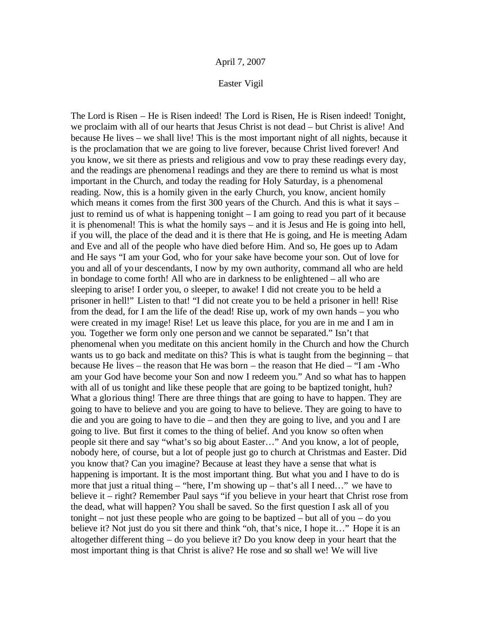## Easter Vigil

The Lord is Risen – He is Risen indeed! The Lord is Risen, He is Risen indeed! Tonight, we proclaim with all of our hearts that Jesus Christ is not dead – but Christ is alive! And because He lives – we shall live! This is the most important night of all nights, because it is the proclamation that we are going to live forever, because Christ lived forever! And you know, we sit there as priests and religious and vow to pray these readings every day, and the readings are phenomena l readings and they are there to remind us what is most important in the Church, and today the reading for Holy Saturday, is a phenomenal reading. Now, this is a homily given in the early Church, you know, ancient homily which means it comes from the first 300 years of the Church. And this is what it says – just to remind us of what is happening tonight – I am going to read you part of it because it is phenomenal! This is what the homily says – and it is Jesus and He is going into hell, if you will, the place of the dead and it is there that He is going, and He is meeting Adam and Eve and all of the people who have died before Him. And so, He goes up to Adam and He says "I am your God, who for your sake have become your son. Out of love for you and all of your descendants, I now by my own authority, command all who are held in bondage to come forth! All who are in darkness to be enlightened – all who are sleeping to arise! I order you, o sleeper, to awake! I did not create you to be held a prisoner in hell!" Listen to that! "I did not create you to be held a prisoner in hell! Rise from the dead, for I am the life of the dead! Rise up, work of my own hands – you who were created in my image! Rise! Let us leave this place, for you are in me and I am in you. Together we form only one person and we cannot be separated." Isn't that phenomenal when you meditate on this ancient homily in the Church and how the Church wants us to go back and meditate on this? This is what is taught from the beginning – that because He lives – the reason that He was born – the reason that He died – "I am -Who am your God have become your Son and now I redeem you." And so what has to happen with all of us tonight and like these people that are going to be baptized tonight, huh? What a glorious thing! There are three things that are going to have to happen. They are going to have to believe and you are going to have to believe. They are going to have to die and you are going to have to die – and then they are going to live, and you and I are going to live. But first it comes to the thing of belief. And you know so often when people sit there and say "what's so big about Easter…" And you know, a lot of people, nobody here, of course, but a lot of people just go to church at Christmas and Easter. Did you know that? Can you imagine? Because at least they have a sense that what is happening is important. It is the most important thing. But what you and I have to do is more that just a ritual thing – "here, I'm showing up – that's all I need..." we have to believe it – right? Remember Paul says "if you believe in your heart that Christ rose from the dead, what will happen? You shall be saved. So the first question I ask all of you tonight – not just these people who are going to be baptized – but all of you – do you believe it? Not just do you sit there and think "oh, that's nice, I hope it..." Hope it is an altogether different thing – do you believe it? Do you know deep in your heart that the most important thing is that Christ is alive? He rose and so shall we! We will live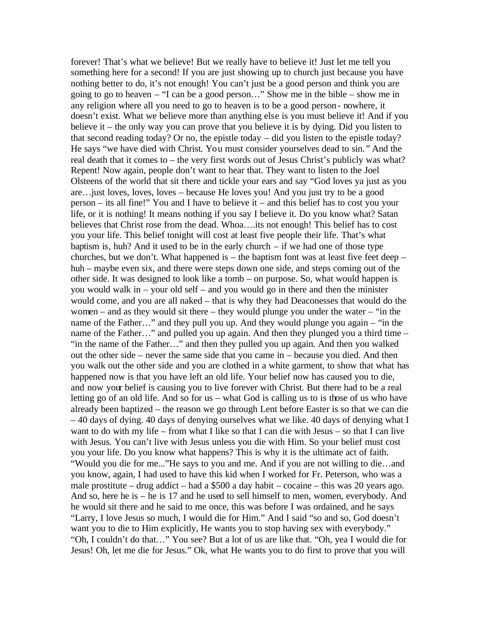forever! That's what we believe! But we really have to believe it! Just let me tell you something here for a second! If you are just showing up to church just because you have nothing better to do, it's not enough! You can't just be a good person and think you are going to go to heaven – "I can be a good person…" Show me in the bible – show me in any religion where all you need to go to heaven is to be a good person- nowhere, it doesn't exist. What we believe more than anything else is you must believe it! And if you believe it – the only way you can prove that you believe it is by dying. Did you listen to that second reading today? Or no, the epistle today – did you listen to the epistle today? He says "we have died with Christ. You must consider yourselves dead to sin. " And the real death that it comes to – the very first words out of Jesus Christ's publicly was what? Repent! Now again, people don't want to hear that. They want to listen to the Joel Olsteens of the world that sit there and tickle your ears and say "God loves ya just as you are…just loves, loves, loves – because He loves you! And you just try to be a good person – its all fine!" You and I have to believe it – and this belief has to cost you your life, or it is nothing! It means nothing if you say I believe it. Do you know what? Satan believes that Christ rose from the dead. Whoa….its not enough! This belief has to cost you your life. This belief tonight will cost at least five people their life. That's what baptism is, huh? And it used to be in the early church – if we had one of those type churches, but we don't. What happened is – the baptism font was at least five feet deep – huh – maybe even six, and there were steps down one side, and steps coming out of the other side. It was designed to look like a tomb – on purpose. So, what would happen is you would walk in – your old self – and you would go in there and then the minister would come, and you are all naked – that is why they had Deaconesses that would do the women – and as they would sit there – they would plunge you under the water – "in the name of the Father…" and they pull you up. And they would plunge you again – "in the name of the Father…" and pulled you up again. And then they plunged you a third time – "in the name of the Father…" and then they pulled you up again. And then you walked out the other side – never the same side that you came in – because you died. And then you walk out the other side and you are clothed in a white garment, to show that what has happened now is that you have left an old life. Your belief now has caused you to die, and now your belief is causing you to live forever with Christ. But there had to be a real letting go of an old life. And so for us – what God is calling us to is those of us who have already been baptized – the reason we go through Lent before Easter is so that we can die – 40 days of dying. 40 days of denying ourselves what we like. 40 days of denying what I want to do with my life – from what I like so that I can die with Jesus – so that I can live with Jesus. You can't live with Jesus unless you die with Him. So your belief must cost you your life. Do you know what happens? This is why it is the ultimate act of faith. "Would you die for me..."He says to you and me. And if you are not willing to die…and you know, again, I had used to have this kid when I worked for Fr. Peterson, who was a male prostitute – drug addict – had a \$500 a day habit – cocaine – this was 20 years ago. And so, here he is – he is 17 and he used to sell himself to men, women, everybody. And he would sit there and he said to me once, this was before I was ordained, and he says "Larry, I love Jesus so much, I would die for Him." And I said "so and so, God doesn't want you to die to Him explicitly, He wants you to stop having sex with everybody." "Oh, I couldn't do that…" You see? But a lot of us are like that. "Oh, yea I would die for Jesus! Oh, let me die for Jesus." Ok, what He wants you to do first to prove that you will